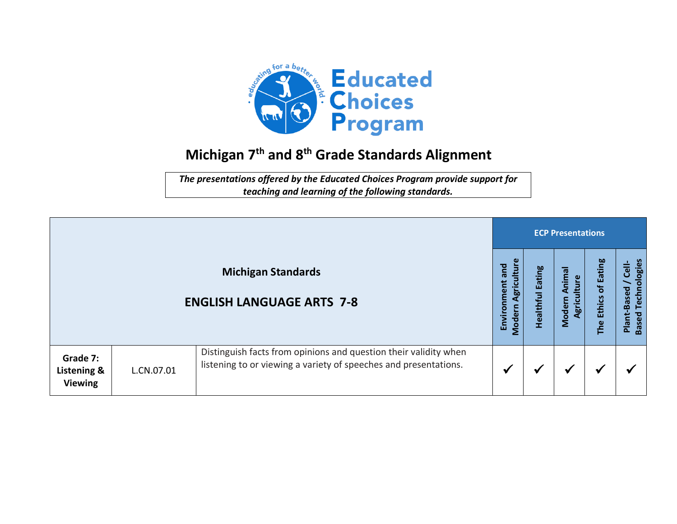

## **Michigan 7 th and 8 th Grade Standards Alignment**

*The presentations offered by the Educated Choices Program provide support for teaching and learning of the following standards.*

|                                           |            |                                                                                                                                      | <b>ECP Presentations</b>                   |                            |                                            |                         |                                                                         |  |  |
|-------------------------------------------|------------|--------------------------------------------------------------------------------------------------------------------------------------|--------------------------------------------|----------------------------|--------------------------------------------|-------------------------|-------------------------------------------------------------------------|--|--|
|                                           |            | <b>Michigan Standards</b><br><b>ENGLISH LANGUAGE ARTS 7-8</b>                                                                        | griculture<br>and<br>Environment<br>Modern | <b>Eating</b><br>Healthful | Animal<br><b>Iture</b><br>Modern<br>Agrici | Ethics of Eating<br>The | Technologies<br>$\frac{1}{\overline{C}}$<br>Plant-Based<br><b>Based</b> |  |  |
| Grade 7:<br>Listening &<br><b>Viewing</b> | L.CN.07.01 | Distinguish facts from opinions and question their validity when<br>listening to or viewing a variety of speeches and presentations. |                                            | ₩                          | ✔                                          | ₩                       |                                                                         |  |  |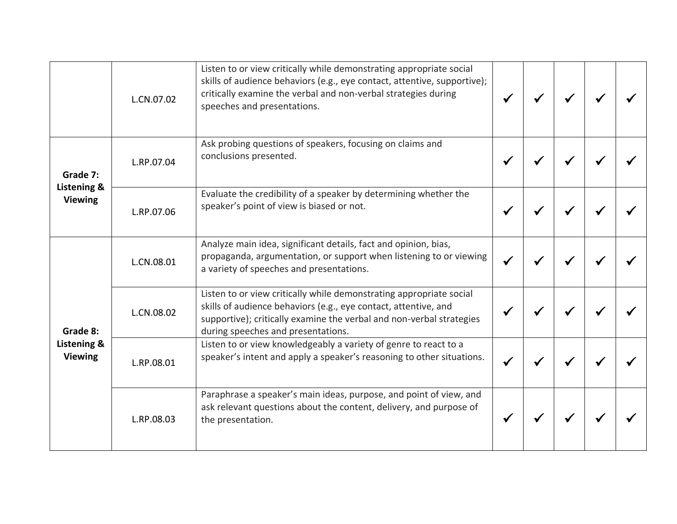|                                           | L.CN.07.02 | Listen to or view critically while demonstrating appropriate social<br>skills of audience behaviors (e.g., eye contact, attentive, supportive);<br>critically examine the verbal and non-verbal strategies during<br>speeches and presentations.     |  |  |  |
|-------------------------------------------|------------|------------------------------------------------------------------------------------------------------------------------------------------------------------------------------------------------------------------------------------------------------|--|--|--|
| Grade 7:<br>Listening &<br><b>Viewing</b> | L.RP.07.04 | Ask probing questions of speakers, focusing on claims and<br>conclusions presented.                                                                                                                                                                  |  |  |  |
|                                           | L.RP.07.06 | Evaluate the credibility of a speaker by determining whether the<br>speaker's point of view is biased or not.                                                                                                                                        |  |  |  |
| Grade 8:<br>Listening &<br><b>Viewing</b> | L.CN.08.01 | Analyze main idea, significant details, fact and opinion, bias,<br>propaganda, argumentation, or support when listening to or viewing<br>a variety of speeches and presentations.                                                                    |  |  |  |
|                                           | L.CN.08.02 | Listen to or view critically while demonstrating appropriate social<br>skills of audience behaviors (e.g., eye contact, attentive, and<br>supportive); critically examine the verbal and non-verbal strategies<br>during speeches and presentations. |  |  |  |
|                                           | L.RP.08.01 | Listen to or view knowledgeably a variety of genre to react to a<br>speaker's intent and apply a speaker's reasoning to other situations.                                                                                                            |  |  |  |
|                                           | L.RP.08.03 | Paraphrase a speaker's main ideas, purpose, and point of view, and<br>ask relevant questions about the content, delivery, and purpose of<br>the presentation.                                                                                        |  |  |  |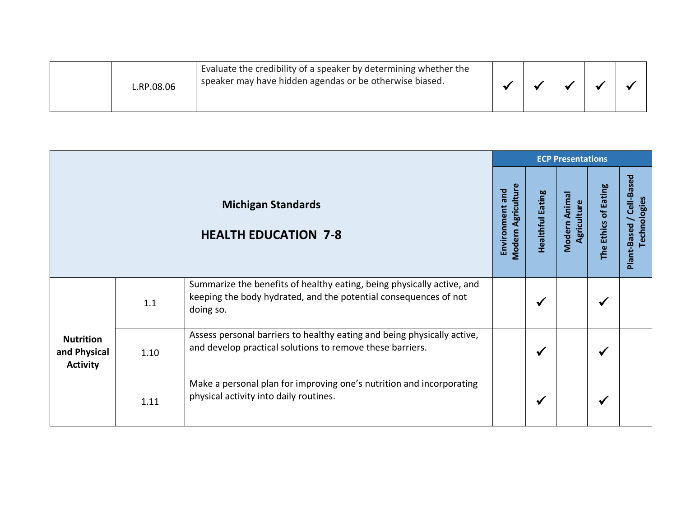|  | L.RP.08.06 | Evaluate the credibility of a speaker by determining whether the<br>speaker may have hidden agendas or be otherwise biased. |  |  |  |  |  |
|--|------------|-----------------------------------------------------------------------------------------------------------------------------|--|--|--|--|--|
|--|------------|-----------------------------------------------------------------------------------------------------------------------------|--|--|--|--|--|

|                                                     |      |                                                                                                                                                         |                                       |                  | <b>ECP Presentations</b>     |                      |                                          |
|-----------------------------------------------------|------|---------------------------------------------------------------------------------------------------------------------------------------------------------|---------------------------------------|------------------|------------------------------|----------------------|------------------------------------------|
|                                                     |      | <b>Michigan Standards</b><br><b>HEALTH EDUCATION 7-8</b>                                                                                                | Modern Agriculture<br>Environment and | Healthful Eating | Modern Animal<br>Agriculture | The Ethics of Eating | Plant-Based / Cell-Based<br>Technologies |
| <b>Nutrition</b><br>and Physical<br><b>Activity</b> | 1.1  | Summarize the benefits of healthy eating, being physically active, and<br>keeping the body hydrated, and the potential consequences of not<br>doing so. |                                       | √                |                              |                      |                                          |
|                                                     | 1.10 | Assess personal barriers to healthy eating and being physically active,<br>and develop practical solutions to remove these barriers.                    |                                       | ✔                |                              |                      |                                          |
|                                                     | 1.11 | Make a personal plan for improving one's nutrition and incorporating<br>physical activity into daily routines.                                          |                                       | ✔                |                              |                      |                                          |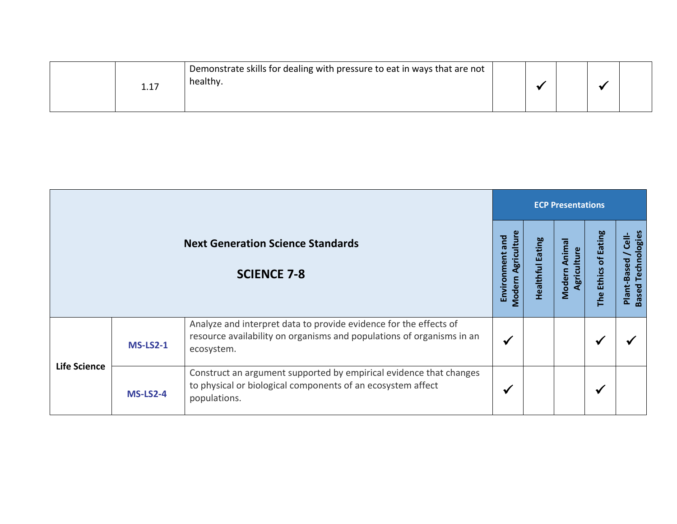|  | <b>1.T</b> | Demonstrate skills for dealing with pressure to eat in ways that are not<br>healthy. |  |  |  |  |  |
|--|------------|--------------------------------------------------------------------------------------|--|--|--|--|--|
|--|------------|--------------------------------------------------------------------------------------|--|--|--|--|--|

|                     |                                                                |                                                                                                                                                          |   |  | <b>ECP Presentations</b>        |                      |                                                                     |  |  |  |  |
|---------------------|----------------------------------------------------------------|----------------------------------------------------------------------------------------------------------------------------------------------------------|---|--|---------------------------------|----------------------|---------------------------------------------------------------------|--|--|--|--|
|                     | <b>Next Generation Science Standards</b><br><b>SCIENCE 7-8</b> |                                                                                                                                                          |   |  | Animal<br>Agriculture<br>Modern | The Ethics of Eating | Technologies<br>$\frac{1}{\epsilon}$<br>Plant-Based<br><b>Based</b> |  |  |  |  |
| <b>Life Science</b> | $MS-LS2-1$                                                     | Analyze and interpret data to provide evidence for the effects of<br>resource availability on organisms and populations of organisms in an<br>ecosystem. | ✔ |  |                                 | ✔                    |                                                                     |  |  |  |  |
|                     | <b>MS-LS2-4</b>                                                | Construct an argument supported by empirical evidence that changes<br>to physical or biological components of an ecosystem affect<br>populations.        | ✔ |  |                                 | $\checkmark$         |                                                                     |  |  |  |  |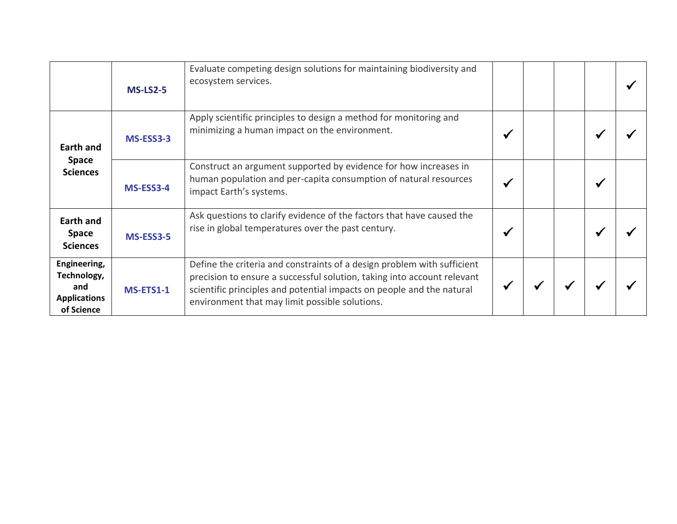|                                                                         | $MS-LS2-5$ | Evaluate competing design solutions for maintaining biodiversity and<br>ecosystem services.                                                                                                                                                                                   |  |   |  |
|-------------------------------------------------------------------------|------------|-------------------------------------------------------------------------------------------------------------------------------------------------------------------------------------------------------------------------------------------------------------------------------|--|---|--|
| Earth and<br><b>Space</b><br><b>Sciences</b>                            | MS-ESS3-3  | Apply scientific principles to design a method for monitoring and<br>minimizing a human impact on the environment.                                                                                                                                                            |  |   |  |
|                                                                         | MS-ESS3-4  | Construct an argument supported by evidence for how increases in<br>human population and per-capita consumption of natural resources<br>impact Earth's systems.                                                                                                               |  | ✔ |  |
| <b>Earth and</b><br><b>Space</b><br><b>Sciences</b>                     | MS-ESS3-5  | Ask questions to clarify evidence of the factors that have caused the<br>rise in global temperatures over the past century.                                                                                                                                                   |  |   |  |
| Engineering,<br>Technology,<br>and<br><b>Applications</b><br>of Science | MS-ETS1-1  | Define the criteria and constraints of a design problem with sufficient<br>precision to ensure a successful solution, taking into account relevant<br>scientific principles and potential impacts on people and the natural<br>environment that may limit possible solutions. |  |   |  |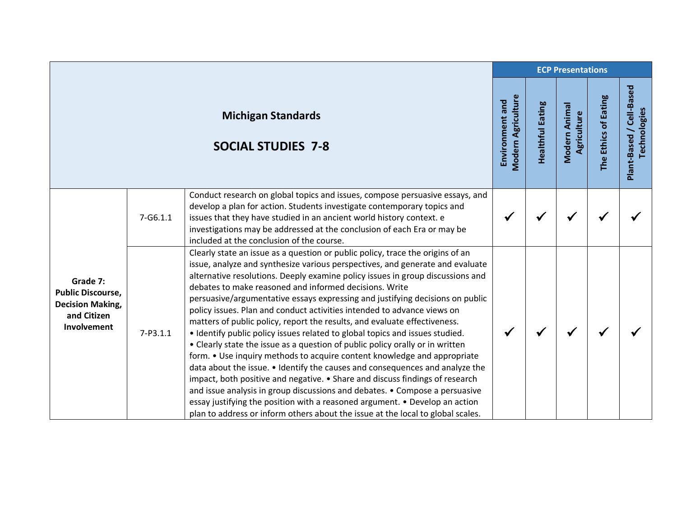|                                                                                               |              | <b>ECP Presentations</b>                                                                                                                                                                                                                                                                                                                                                                                                                                                                                                                                                                                                                                                                                                                                                                                                                                                                                                                                                                                                                                                                                                                                                                                           |                                              |                         |                              |                      |                                          |  |
|-----------------------------------------------------------------------------------------------|--------------|--------------------------------------------------------------------------------------------------------------------------------------------------------------------------------------------------------------------------------------------------------------------------------------------------------------------------------------------------------------------------------------------------------------------------------------------------------------------------------------------------------------------------------------------------------------------------------------------------------------------------------------------------------------------------------------------------------------------------------------------------------------------------------------------------------------------------------------------------------------------------------------------------------------------------------------------------------------------------------------------------------------------------------------------------------------------------------------------------------------------------------------------------------------------------------------------------------------------|----------------------------------------------|-------------------------|------------------------------|----------------------|------------------------------------------|--|
|                                                                                               |              | <b>Michigan Standards</b><br><b>SOCIAL STUDIES 7-8</b>                                                                                                                                                                                                                                                                                                                                                                                                                                                                                                                                                                                                                                                                                                                                                                                                                                                                                                                                                                                                                                                                                                                                                             | <b>Modern Agriculture</b><br>Environment and | <b>Healthful Eating</b> | Modern Animal<br>Agriculture | The Ethics of Eating | Plant-Based / Cell-Based<br>Technologies |  |
|                                                                                               | $7 - G6.1.1$ | Conduct research on global topics and issues, compose persuasive essays, and<br>develop a plan for action. Students investigate contemporary topics and<br>issues that they have studied in an ancient world history context. e<br>investigations may be addressed at the conclusion of each Era or may be<br>included at the conclusion of the course.                                                                                                                                                                                                                                                                                                                                                                                                                                                                                                                                                                                                                                                                                                                                                                                                                                                            | ✔                                            |                         |                              |                      |                                          |  |
| Grade 7:<br><b>Public Discourse,</b><br><b>Decision Making,</b><br>and Citizen<br>Involvement | $7 - P3.1.1$ | Clearly state an issue as a question or public policy, trace the origins of an<br>issue, analyze and synthesize various perspectives, and generate and evaluate<br>alternative resolutions. Deeply examine policy issues in group discussions and<br>debates to make reasoned and informed decisions. Write<br>persuasive/argumentative essays expressing and justifying decisions on public<br>policy issues. Plan and conduct activities intended to advance views on<br>matters of public policy, report the results, and evaluate effectiveness.<br>• Identify public policy issues related to global topics and issues studied.<br>• Clearly state the issue as a question of public policy orally or in written<br>form. • Use inquiry methods to acquire content knowledge and appropriate<br>data about the issue. • Identify the causes and consequences and analyze the<br>impact, both positive and negative. • Share and discuss findings of research<br>and issue analysis in group discussions and debates. • Compose a persuasive<br>essay justifying the position with a reasoned argument. • Develop an action<br>plan to address or inform others about the issue at the local to global scales. | ✔                                            | √                       |                              |                      |                                          |  |